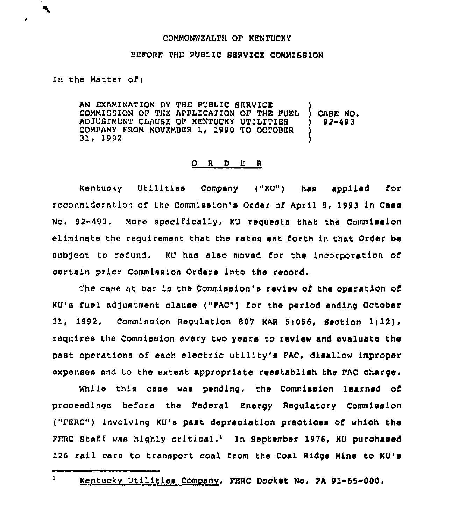## COMMONWEALTH OF KENTUCKY

## BEFORE THE PUBLIC SERVICE COMMISSION

## In the Matter of:

 $\blacktriangle$ 

AN EXAMINATION BY THE PUBLIC SERVICE COMMISSION OF THE APPLICATION OF THE FUEL ADJUSTMENT CLAUBE OF KENTUCKY UTILITIES COMPANY FROM NOVEMBER 1, 1990 TO OCTOBER 31, 1992 ) ) CASE NO. ) 92-493 ) )

## 0 <sup>R</sup> <sup>D</sup> E <sup>R</sup>

Kentucky Utilities Company ("KU") has applied for reconsideration of the Commission's Drder of April 5, 1993 in Case No. 92-493. More specifically, KU requests that the Commission eliminate the requirement that the rates set forth in that Order be subject to refund. KU has also moved for the incorporation of certain prior Commission Orders into the record.

The case at bar is the Commission's review of the operation of KU's fuel adjustment clause ("FAC") for the period ending October 31, 1992. Commission Regulation 807 KAR 5i056, Section 1(12), requires the Commission every two years to review and evaluate the past operations of each electric utility's FAC, disallow improper expenses and to the extent appropriate reestablish the FAC charge.

While this case was pending, the Commission learned of proceedings before the Federal Energy Regulatory Commission ("FERC") involving KU's past depreciation practices of which the FERC Staff was highly critical.<sup>1</sup> In September 1976, KU purchased 126 rail cars to transport coal from the Coal Ridge Mine to KU's

 $\mathbf{1}$ 

Kentuckv Utilities Company, FERC Docket No. FA 91-65-000.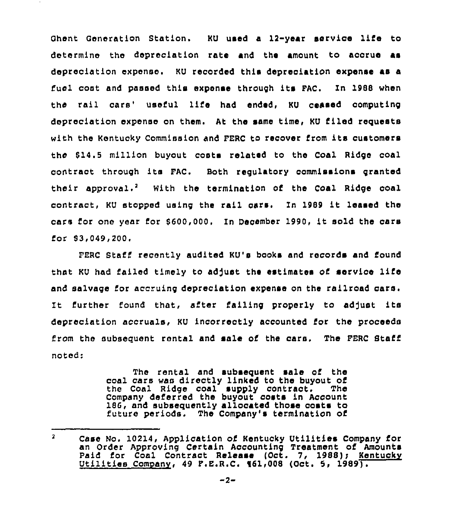Ghent Oeneration Station. KU used a 12-year service life to determine the depreciation rate and the amount to accrue as depreciation expense. KU recorded this depreciation expense as a fuel coat and passed this expense through its PAC. In 1988 when the rail cars' useful life had ended, KU ceased computing depreciation expense on them. At the same time, KU filed requests with the Kentucky Commission and FERC to recover from its customers the \$14.5 million buyout costs related to the Coal Ridge coal contraot through ite PAC. Both regulatory commissions granted their approval.<sup>2</sup> With the termination of the Coal Ridge coal contract, KU stopped using the rail cars. In <sup>1989</sup> it leased the cars for one year for 8600,000. In December 1990, it sold the cars for  $$3,049,200.$ 

FERC Staff recently audited KU's books and records and found that KU had failed timely to adjust the estimates of service life and salvage for accruing depreciation expense on the railroad cars. It further found that, after failing properly to adjust its depreciation accruals, KU incorrectly accounted for the proceeds from the subsequent rental and sale of the cars. The FERC Staff noted:

> The rental and subsequent sale of the coal cars was directly linked to the buyout of the Coal Ridge coal supply contract. The Company deferred the buyout costs in Account 186, and subsequently allocated those costs to future periods. The Company's termination of

 $\mathbf{z}$ Case No. 10214, Application of Kentucky Utilities Company for an Order Approving Certain Accounting Treatment of Amounts Paid for Coal Contract Release (Oct. 7, 1988); Kentucky Utilities Company, 49 P.E.R.C. 161,008 (Oct. 5, 1989).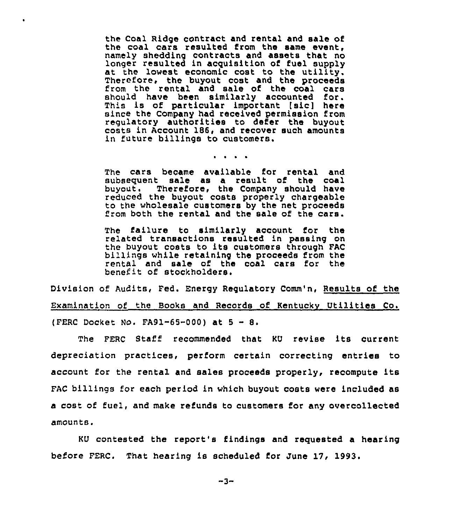the Coal Ridge contract and rental and sale of the coal cars resulted from the same event, namely shedding contracts and assets that no longer resulted in acquisition of fuel supply at the lowest economic cost to the utility. Therefore, the buyout cost and the proceeds from the rental and sale of the coal cars should have been similarly accounted for. This is of particular important [sic] here since the Company had received permission from regulatory authorities to defer the buyout costs in Account 186, and recover such amounts in future billings to customers.

 $\bullet$ 

 $\mathbf{u} = \mathbf{u} + \mathbf{u} + \mathbf{u}$ 

The cars became available for rental and subsequent sale as a result of the coal<br>buyout. Therefore, the Company should have Therefore, the Company should have reduced the buyout costs properly chargeable to the wholesale customers by the net proceeds from both the rental and the sale of the cars.

The failure to similarly account for the related transactions resulted in passing on the buyout costa to its customers through FAC billings while retaining the proceeds from the rental and sale of the coal cars for the benefit of stockholders.

Division of Audits, Fed. Energy Regulatory Comm'n, Results of the Examination of the Books and Records of Kentuckv Utilities Co. (FERC Docket No. FA91-65-000) at  $5 - 8$ .

The FERC Staff recommended that KU revise its current depreciation practices, perform certain correcting entries to account for the rental and sales proceeds properly, recompute its FAC billings for each period in which buyout costs were included as a cost of fuel, and make refunds to customers for any overcollected amounts.

KU contested the report's findings and requested a hearing before FERC. That hearing is scheduled for June 17, 1993.

 $-3-$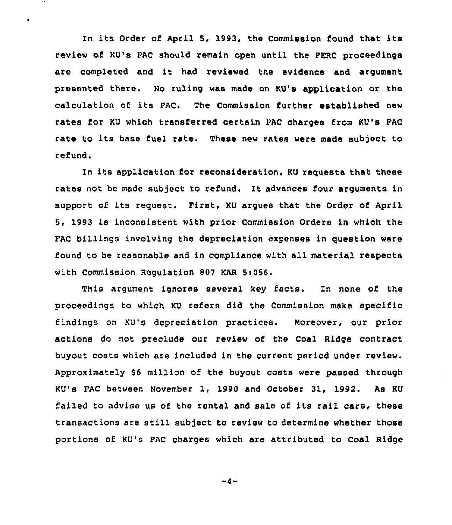In its Order of April 5, 1993, the Commission found that its review of KU's FAC should remain open until the FERC proceedings are completed and it had reviewed the evidence and argument presented there. No ruling was made on KU's application or the calculation of its FAC. The Commission further established new rates for KU which transferred certain FAC charges from KU's FAC rate to its base fuel rate. These new rates were made subject to refund.

 $\ddot{\phantom{0}}$ 

In its application for reconsideration, KU reguests that these rates not be made subject to refund. It advances four arguments in support of its request. First, KU argues that the Order of April 5, 1993 is inconsistent with prior Commission Orders in which the FAC billings involving the depreciation expenses in question were found to be reasonable and in compliance with all material respects with Commission Regulation 807 KAR 5:056.

This argument ignores several key facts. In none of the proceedings to which KU refers did the Commission make specific findings on KU's depreciation practices. Moreover, our prior actions do not preclude our review of the Coal Ridge contract buyout costs which are included in the current period under review. Approximately \$6 million of the buyout costs were passed through KU's FAC between November 1, 1990 and October 31, 1992. As KU failed to advise us of the rental and sale of its rail cars, these transactions are still subject to review to determine whether those portions of KU's FAC charges which are attributed to Coal Ridge

 $-4-$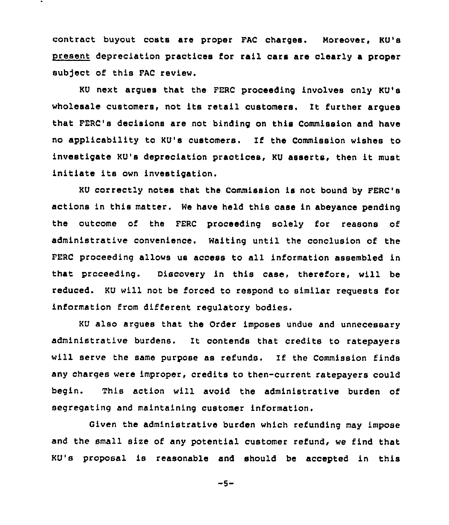contract buyout costs are proper FAC charges. Moreover, KU's present depreciation practices for rail cars are clearly a proper sub)ect of this FAC review.

KU next argues that the FERC proceeding involves only KU's wholesale customers, not its retail customers. It further argues that FERC's decisions are not binding on this Commission and have no applicability to KU's customers. If the Commission wishes to investigate KU's depreciation practices, KU asserts, then it must initiate its own investigation.

KU correctly notes that the Commission is not bound by FERC's actions in this matter. We have held this case in abeyance pending the outcome of the FERC proceeding solely for reasons of administrative convenience. Waiting until the conclusion of the FERC proceeding allows us access to all information assembled in that proceeding. Uiscovery in this case, therefore, will be reduced. KU will not be forced to respond to similar requests for information from different regulatory bodies.

KU also argues that the Order imposes undue and unnecessary administrative burdens. lt contends that credits to rakepayers will serve the same purpose as refunds. If the Commission finds any charges were improper, credits to then-current ratepayers could begin. This action will avoid the administrative burden of segregating and maintaining customer information.

Given the administrative burden which refunding may impose and the small size of any potential customer refund, we find that KU's proposal is reasonable and should be accepted in this

 $-5-$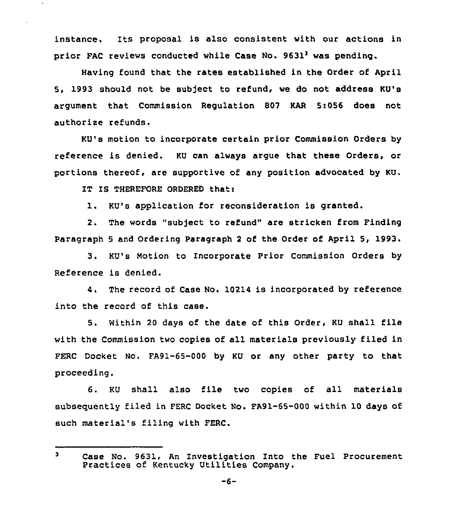instance. Its proposal is also consistent with our actions in prior FAC reviews conducted while Case No. 9631<sup>3</sup> was pending.

Having found that the rates established in the Order of April 5, 1993 should not be subject to refund, we do not address KU's argument that Commission Regulation 807 KAR 5:056 does not authorise refunds.

KU's motion to incorporate certain prior Commission Orders by reference is denied. KU can always argue that these Orders, or portions thereof, are supportive of any position advocated by KU.

IT IS THEREFORE ORDERED thati

1. KU's application for reconsideration is granted.

2. The words "subject to refund" are stricken from Finding Paragraph 5 and Ordering Paragraph 2 of the Order of April 5, 1993.

3. KU's Motion to Incorporate Prior Commission Orders by Reference is denied.

4. The record of Case No. 10214 is incorporated by reference into the record of this case.

5. Within <sup>20</sup> days of the date of this Order, KU shall file with the Commission two copies of all materials previously filed in FERC Docket No. FA91-65-000 by KU or any other party to that proceeding.

6. KU shall also file two copies of all materials subsequently filed in FERC Docket No. FA91-65-000 within 10 days of such material's filing with FERC.

 $\overline{\mathbf{3}}$ Case No. 9631, An Investigation Into the Fuel Procurement Practices of Kentucky Utilities Company.